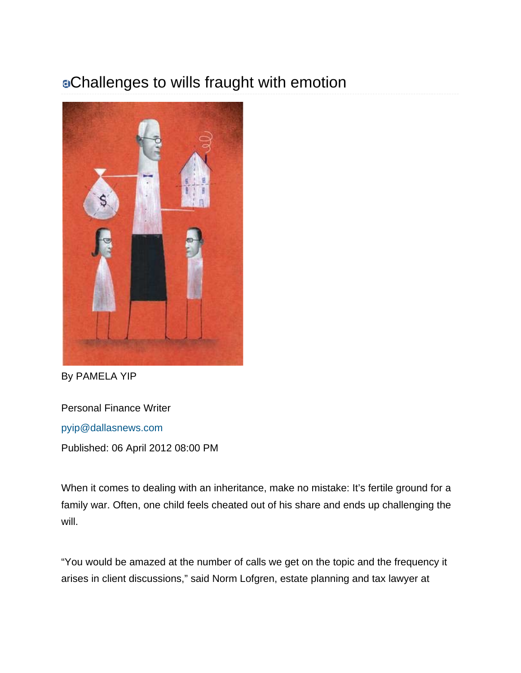## Challenges to wills fraught with emotion



By PAMELA YIP

Personal Finance Writer pyip@dallasnews.com

Published: 06 April 2012 08:00 PM

When it comes to dealing with an inheritance, make no mistake: It's fertile ground for a family war. Often, one child feels cheated out of his share and ends up challenging the will.

"You would be amazed at the number of calls we get on the topic and the frequency it arises in client discussions," said Norm Lofgren, estate planning and tax lawyer at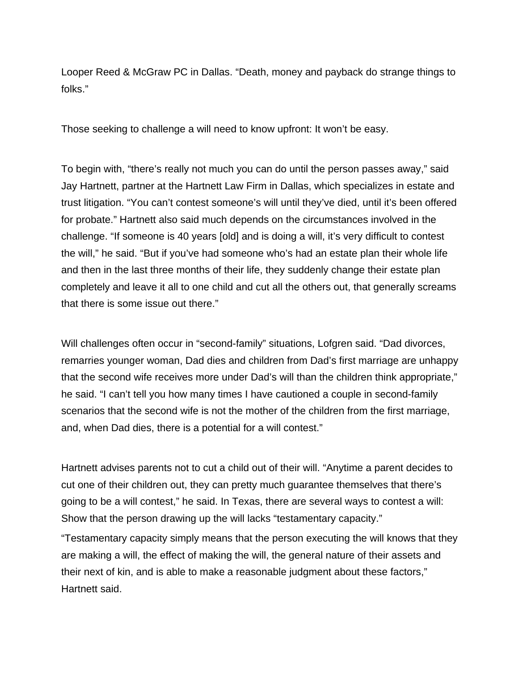Looper Reed & McGraw PC in Dallas. "Death, money and payback do strange things to folks."

Those seeking to challenge a will need to know upfront: It won't be easy.

To begin with, "there's really not much you can do until the person passes away," said Jay Hartnett, partner at the Hartnett Law Firm in Dallas, which specializes in estate and trust litigation. "You can't contest someone's will until they've died, until it's been offered for probate." Hartnett also said much depends on the circumstances involved in the challenge. "If someone is 40 years [old] and is doing a will, it's very difficult to contest the will," he said. "But if you've had someone who's had an estate plan their whole life and then in the last three months of their life, they suddenly change their estate plan completely and leave it all to one child and cut all the others out, that generally screams that there is some issue out there."

Will challenges often occur in "second-family" situations, Lofgren said. "Dad divorces, remarries younger woman, Dad dies and children from Dad's first marriage are unhappy that the second wife receives more under Dad's will than the children think appropriate," he said. "I can't tell you how many times I have cautioned a couple in second-family scenarios that the second wife is not the mother of the children from the first marriage, and, when Dad dies, there is a potential for a will contest."

Hartnett advises parents not to cut a child out of their will. "Anytime a parent decides to cut one of their children out, they can pretty much guarantee themselves that there's going to be a will contest," he said. In Texas, there are several ways to contest a will: Show that the person drawing up the will lacks "testamentary capacity."

"Testamentary capacity simply means that the person executing the will knows that they are making a will, the effect of making the will, the general nature of their assets and their next of kin, and is able to make a reasonable judgment about these factors," Hartnett said.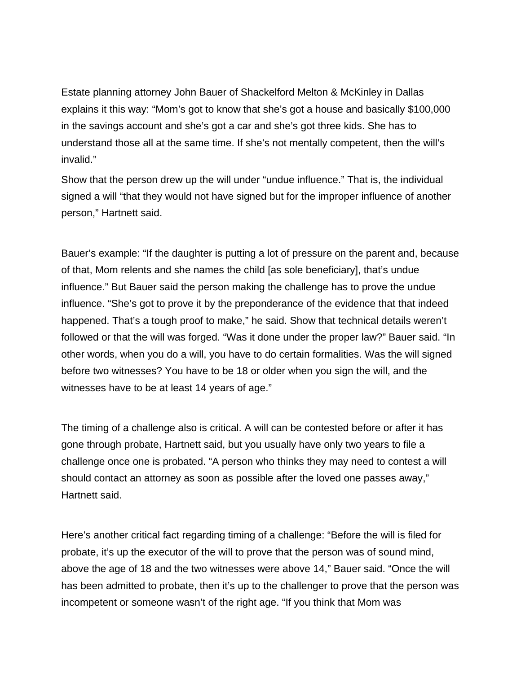Estate planning attorney John Bauer of Shackelford Melton & McKinley in Dallas explains it this way: "Mom's got to know that she's got a house and basically \$100,000 in the savings account and she's got a car and she's got three kids. She has to understand those all at the same time. If she's not mentally competent, then the will's invalid."

Show that the person drew up the will under "undue influence." That is, the individual signed a will "that they would not have signed but for the improper influence of another person," Hartnett said.

Bauer's example: "If the daughter is putting a lot of pressure on the parent and, because of that, Mom relents and she names the child [as sole beneficiary], that's undue influence." But Bauer said the person making the challenge has to prove the undue influence. "She's got to prove it by the preponderance of the evidence that that indeed happened. That's a tough proof to make," he said. Show that technical details weren't followed or that the will was forged. "Was it done under the proper law?" Bauer said. "In other words, when you do a will, you have to do certain formalities. Was the will signed before two witnesses? You have to be 18 or older when you sign the will, and the witnesses have to be at least 14 years of age."

The timing of a challenge also is critical. A will can be contested before or after it has gone through probate, Hartnett said, but you usually have only two years to file a challenge once one is probated. "A person who thinks they may need to contest a will should contact an attorney as soon as possible after the loved one passes away," Hartnett said.

Here's another critical fact regarding timing of a challenge: "Before the will is filed for probate, it's up the executor of the will to prove that the person was of sound mind, above the age of 18 and the two witnesses were above 14," Bauer said. "Once the will has been admitted to probate, then it's up to the challenger to prove that the person was incompetent or someone wasn't of the right age. "If you think that Mom was